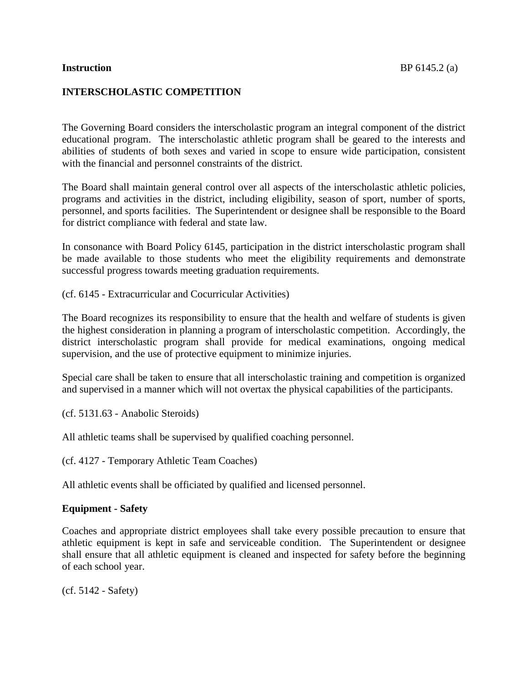# **INTERSCHOLASTIC COMPETITION**

The Governing Board considers the interscholastic program an integral component of the district educational program. The interscholastic athletic program shall be geared to the interests and abilities of students of both sexes and varied in scope to ensure wide participation, consistent with the financial and personnel constraints of the district.

The Board shall maintain general control over all aspects of the interscholastic athletic policies, programs and activities in the district, including eligibility, season of sport, number of sports, personnel, and sports facilities. The Superintendent or designee shall be responsible to the Board for district compliance with federal and state law.

In consonance with Board Policy 6145, participation in the district interscholastic program shall be made available to those students who meet the eligibility requirements and demonstrate successful progress towards meeting graduation requirements.

(cf. 6145 - Extracurricular and Cocurricular Activities)

The Board recognizes its responsibility to ensure that the health and welfare of students is given the highest consideration in planning a program of interscholastic competition. Accordingly, the district interscholastic program shall provide for medical examinations, ongoing medical supervision, and the use of protective equipment to minimize injuries.

Special care shall be taken to ensure that all interscholastic training and competition is organized and supervised in a manner which will not overtax the physical capabilities of the participants.

(cf. 5131.63 - Anabolic Steroids)

All athletic teams shall be supervised by qualified coaching personnel.

(cf. 4127 - Temporary Athletic Team Coaches)

All athletic events shall be officiated by qualified and licensed personnel.

## **Equipment - Safety**

Coaches and appropriate district employees shall take every possible precaution to ensure that athletic equipment is kept in safe and serviceable condition. The Superintendent or designee shall ensure that all athletic equipment is cleaned and inspected for safety before the beginning of each school year.

(cf. 5142 - Safety)